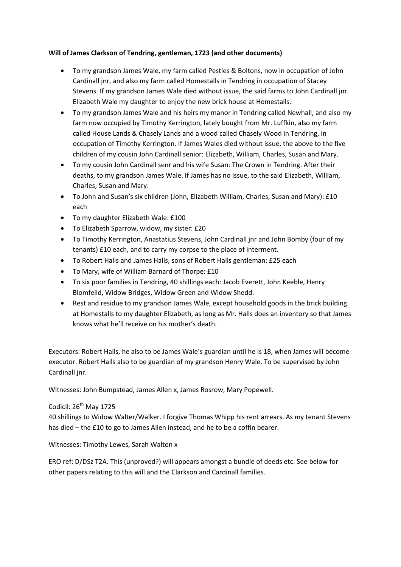## Will of James Clarkson of Tendring, gentleman, 1723 (and other documents)

- To my grandson James Wale, my farm called Pestles & Boltons, now in occupation of John Cardinall jnr, and also my farm called Homestalls in Tendring in occupation of Stacey Stevens. If my grandson James Wale died without issue, the said farms to John Cardinall jnr. Elizabeth Wale my daughter to enjoy the new brick house at Homestalls.
- To my grandson James Wale and his heirs my manor in Tendring called Newhall, and also my farm now occupied by Timothy Kerrington, lately bought from Mr. Luffkin, also my farm called House Lands & Chasely Lands and a wood called Chasely Wood in Tendring, in occupation of Timothy Kerrington. If James Wales died without issue, the above to the five children of my cousin John Cardinall senior: Elizabeth, William, Charles, Susan and Mary.
- To my cousin John Cardinall senr and his wife Susan: The Crown in Tendring. After their deaths, to my grandson James Wale. If James has no issue, to the said Elizabeth, William, Charles, Susan and Mary.
- To John and Susan's six children (John, Elizabeth William, Charles, Susan and Mary): £10 each
- To my daughter Elizabeth Wale: £100
- To Elizabeth Sparrow, widow, my sister: £20
- To Timothy Kerrington, Anastatius Stevens, John Cardinall jnr and John Bomby (four of my tenants) £10 each, and to carry my corpse to the place of interment.
- To Robert Halls and James Halls, sons of Robert Halls gentleman: £25 each
- To Mary, wife of William Barnard of Thorpe: £10
- To six poor families in Tendring, 40 shillings each: Jacob Everett, John Keeble, Henry Blomfeild, Widow Bridges, Widow Green and Widow Shedd.
- Rest and residue to my grandson James Wale, except household goods in the brick building at Homestalls to my daughter Elizabeth, as long as Mr. Halls does an inventory so that James knows what he'll receive on his mother's death.

Executors: Robert Halls, he also to be James Wale's guardian until he is 18, when James will become executor. Robert Halls also to be guardian of my grandson Henry Wale. To be supervised by John Cardinall jnr.

Witnesses: John Bumpstead, James Allen x, James Rosrow, Mary Popewell.

Codicil: 26<sup>th</sup> May 1725

40 shillings to Widow Walter/Walker. I forgive Thomas Whipp his rent arrears. As my tenant Stevens has died – the £10 to go to James Allen instead, and he to be a coffin bearer.

Witnesses: Timothy Lewes, Sarah Walton x

ERO ref: D/DSz T2A. This (unproved?) will appears amongst a bundle of deeds etc. See below for other papers relating to this will and the Clarkson and Cardinall families.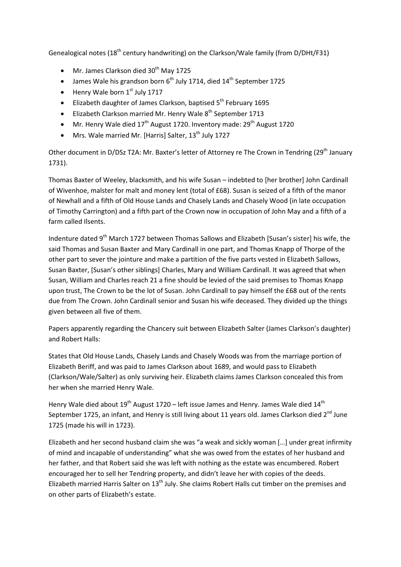Genealogical notes (18<sup>th</sup> century handwriting) on the Clarkson/Wale family (from D/DHt/F31)

- Mr. James Clarkson died 30<sup>th</sup> May 1725
- James Wale his grandson born  $6<sup>th</sup>$  July 1714, died  $14<sup>th</sup>$  September 1725
- Henry Wale born  $1<sup>st</sup>$  July 1717
- Elizabeth daughter of James Clarkson, baptised  $5<sup>th</sup>$  February 1695
- Elizabeth Clarkson married Mr. Henry Wale  $8<sup>th</sup>$  September 1713
- Mr. Henry Wale died  $17<sup>th</sup>$  August 1720. Inventory made: 29<sup>th</sup> August 1720
- Mrs. Wale married Mr. [Harris] Salter,  $13<sup>th</sup>$  July 1727

Other document in D/DSz T2A: Mr. Baxter's letter of Attorney re The Crown in Tendring (29<sup>th</sup> January 1731).

Thomas Baxter of Weeley, blacksmith, and his wife Susan – indebted to [her brother] John Cardinall of Wivenhoe, malster for malt and money lent (total of £68). Susan is seized of a fifth of the manor of Newhall and a fifth of Old House Lands and Chasely Lands and Chasely Wood (in late occupation of Timothy Carrington) and a fifth part of the Crown now in occupation of John May and a fifth of a farm called Ilsents.

Indenture dated 9th March 1727 between Thomas Sallows and Elizabeth [Susan's sister] his wife, the said Thomas and Susan Baxter and Mary Cardinall in one part, and Thomas Knapp of Thorpe of the other part to sever the jointure and make a partition of the five parts vested in Elizabeth Sallows, Susan Baxter, [Susan's other siblings] Charles, Mary and William Cardinall. It was agreed that when Susan, William and Charles reach 21 a fine should be levied of the said premises to Thomas Knapp upon trust, The Crown to be the lot of Susan. John Cardinall to pay himself the £68 out of the rents due from The Crown. John Cardinall senior and Susan his wife deceased. They divided up the things given between all five of them.

Papers apparently regarding the Chancery suit between Elizabeth Salter (James Clarkson's daughter) and Robert Halls:

States that Old House Lands, Chasely Lands and Chasely Woods was from the marriage portion of Elizabeth Beriff, and was paid to James Clarkson about 1689, and would pass to Elizabeth (Clarkson/Wale/Salter) as only surviving heir. Elizabeth claims James Clarkson concealed this from her when she married Henry Wale.

Henry Wale died about  $19^{th}$  August 1720 – left issue James and Henry. James Wale died  $14^{th}$ September 1725, an infant, and Henry is still living about 11 years old. James Clarkson died 2<sup>nd</sup> June 1725 (made his will in 1723).

Elizabeth and her second husband claim she was "a weak and sickly woman […] under great infirmity of mind and incapable of understanding" what she was owed from the estates of her husband and her father, and that Robert said she was left with nothing as the estate was encumbered. Robert encouraged her to sell her Tendring property, and didn't leave her with copies of the deeds. Elizabeth married Harris Salter on 13<sup>th</sup> July. She claims Robert Halls cut timber on the premises and on other parts of Elizabeth's estate.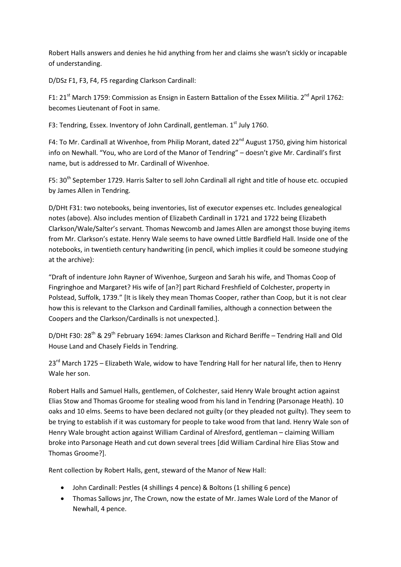Robert Halls answers and denies he hid anything from her and claims she wasn't sickly or incapable of understanding.

D/DSz F1, F3, F4, F5 regarding Clarkson Cardinall:

F1: 21<sup>st</sup> March 1759: Commission as Ensign in Eastern Battalion of the Essex Militia. 2<sup>nd</sup> April 1762: becomes Lieutenant of Foot in same.

F3: Tendring, Essex. Inventory of John Cardinall, gentleman. 1<sup>st</sup> July 1760.

F4: To Mr. Cardinall at Wivenhoe, from Philip Morant, dated 22<sup>nd</sup> August 1750, giving him historical info on Newhall. "You, who are Lord of the Manor of Tendring" – doesn't give Mr. Cardinall's first name, but is addressed to Mr. Cardinall of Wivenhoe.

F5: 30<sup>th</sup> September 1729. Harris Salter to sell John Cardinall all right and title of house etc. occupied by James Allen in Tendring.

D/DHt F31: two notebooks, being inventories, list of executor expenses etc. Includes genealogical notes (above). Also includes mention of Elizabeth Cardinall in 1721 and 1722 being Elizabeth Clarkson/Wale/Salter's servant. Thomas Newcomb and James Allen are amongst those buying items from Mr. Clarkson's estate. Henry Wale seems to have owned Little Bardfield Hall. Inside one of the notebooks, in twentieth century handwriting (in pencil, which implies it could be someone studying at the archive):

"Draft of indenture John Rayner of Wivenhoe, Surgeon and Sarah his wife, and Thomas Coop of Fingringhoe and Margaret? His wife of [an?] part Richard Freshfield of Colchester, property in Polstead, Suffolk, 1739." [It is likely they mean Thomas Cooper, rather than Coop, but it is not clear how this is relevant to the Clarkson and Cardinall families, although a connection between the Coopers and the Clarkson/Cardinalls is not unexpected.].

D/DHt F30: 28<sup>th</sup> & 29<sup>th</sup> February 1694: James Clarkson and Richard Beriffe – Tendring Hall and Old House Land and Chasely Fields in Tendring.

23<sup>rd</sup> March 1725 – Elizabeth Wale, widow to have Tendring Hall for her natural life, then to Henry Wale her son.

Robert Halls and Samuel Halls, gentlemen, of Colchester, said Henry Wale brought action against Elias Stow and Thomas Groome for stealing wood from his land in Tendring (Parsonage Heath). 10 oaks and 10 elms. Seems to have been declared not guilty (or they pleaded not guilty). They seem to be trying to establish if it was customary for people to take wood from that land. Henry Wale son of Henry Wale brought action against William Cardinal of Alresford, gentleman – claiming William broke into Parsonage Heath and cut down several trees [did William Cardinal hire Elias Stow and Thomas Groome?].

Rent collection by Robert Halls, gent, steward of the Manor of New Hall:

- John Cardinall: Pestles (4 shillings 4 pence) & Boltons (1 shilling 6 pence)
- Thomas Sallows jnr, The Crown, now the estate of Mr. James Wale Lord of the Manor of Newhall, 4 pence.